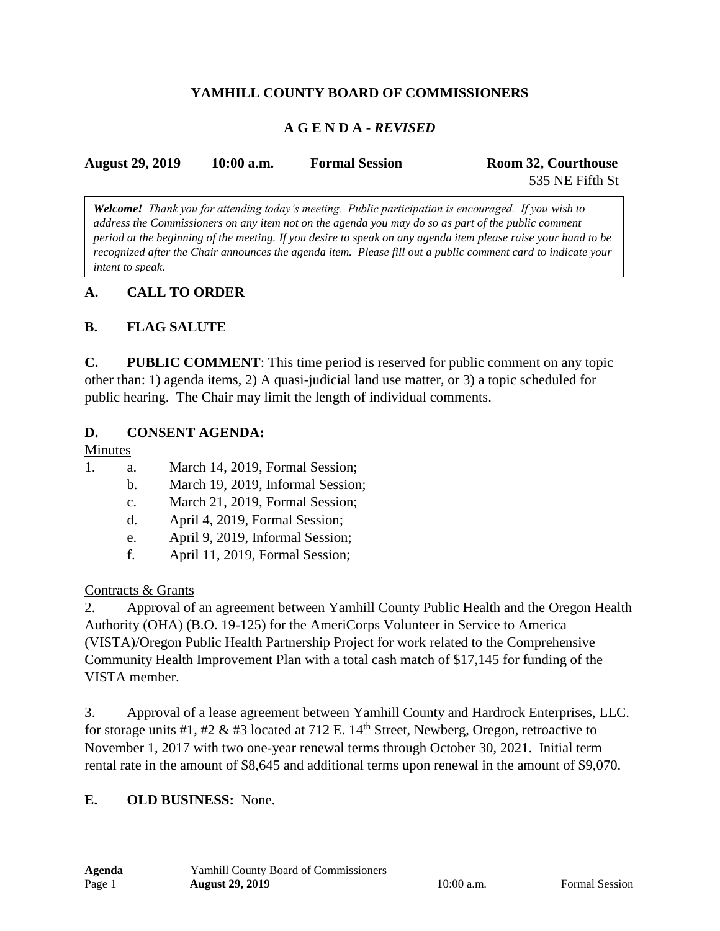# **YAMHILL COUNTY BOARD OF COMMISSIONERS**

### **A G E N D A -** *REVISED*

| <b>August 29, 2019</b> | $10:00$ a.m. | <b>Formal Session</b> | Room 32, Courthouse |
|------------------------|--------------|-----------------------|---------------------|
|                        |              |                       | 535 NE Fifth St     |

*Welcome! Thank you for attending today's meeting. Public participation is encouraged. If you wish to address the Commissioners on any item not on the agenda you may do so as part of the public comment period at the beginning of the meeting. If you desire to speak on any agenda item please raise your hand to be recognized after the Chair announces the agenda item. Please fill out a public comment card to indicate your intent to speak.*

### **A. CALL TO ORDER**

### **B. FLAG SALUTE**

**C. PUBLIC COMMENT**: This time period is reserved for public comment on any topic other than: 1) agenda items, 2) A quasi-judicial land use matter, or 3) a topic scheduled for public hearing. The Chair may limit the length of individual comments.

#### **D. CONSENT AGENDA:**

#### Minutes

- 1. a. March 14, 2019, Formal Session;
	- b. March 19, 2019, Informal Session;
	- c. March 21, 2019, Formal Session;
	- d. April 4, 2019, Formal Session;
	- e. April 9, 2019, Informal Session;
	- f. April 11, 2019, Formal Session;

### Contracts & Grants

2. Approval of an agreement between Yamhill County Public Health and the Oregon Health Authority (OHA) (B.O. 19-125) for the AmeriCorps Volunteer in Service to America (VISTA)/Oregon Public Health Partnership Project for work related to the Comprehensive Community Health Improvement Plan with a total cash match of \$17,145 for funding of the VISTA member.

3. Approval of a lease agreement between Yamhill County and Hardrock Enterprises, LLC. for storage units #1, #2 & #3 located at 712 E.  $14<sup>th</sup>$  Street, Newberg, Oregon, retroactive to November 1, 2017 with two one-year renewal terms through October 30, 2021. Initial term rental rate in the amount of \$8,645 and additional terms upon renewal in the amount of \$9,070.

### **E. OLD BUSINESS:** None.